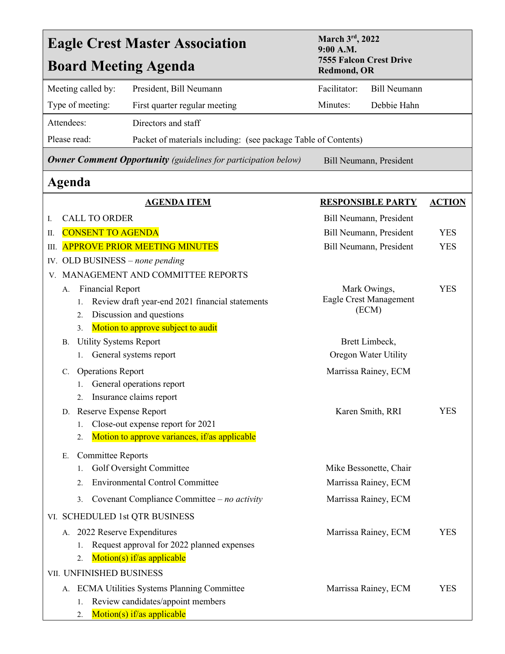| March 3rd, 2022<br><b>Eagle Crest Master Association</b><br>9:00 A.M.                                           |                     |
|-----------------------------------------------------------------------------------------------------------------|---------------------|
| <b>7555 Falcon Crest Drive</b><br><b>Board Meeting Agenda</b><br><b>Redmond, OR</b>                             |                     |
| Facilitator:<br>Meeting called by:<br>President, Bill Neumann                                                   | <b>Bill Neumann</b> |
| Type of meeting:<br>Minutes:<br>Debbie Hahn<br>First quarter regular meeting                                    |                     |
| Directors and staff<br>Attendees:                                                                               |                     |
| Please read:<br>Packet of materials including: (see package Table of Contents)                                  |                     |
| <b>Owner Comment Opportunity</b> (guidelines for participation below)<br>Bill Neumann, President                |                     |
| Agenda                                                                                                          |                     |
| <b>AGENDA ITEM</b><br><b>RESPONSIBLE PARTY</b>                                                                  | <b>ACTION</b>       |
| <b>CALL TO ORDER</b><br>Bill Neumann, President<br>Ι.                                                           |                     |
| <b>CONSENT TO AGENDA</b><br>Bill Neumann, President<br>П.                                                       | <b>YES</b>          |
| <b>APPROVE PRIOR MEETING MINUTES</b><br>Bill Neumann, President<br>Ш.                                           | <b>YES</b>          |
| IV. OLD BUSINESS - none pending                                                                                 |                     |
| V. MANAGEMENT AND COMMITTEE REPORTS                                                                             |                     |
| <b>Financial Report</b><br>Mark Owings,<br>А.<br>Eagle Crest Management                                         | <b>YES</b>          |
| Review draft year-end 2021 financial statements<br>1.<br>(ECM)<br>Discussion and questions<br>2.                |                     |
| Motion to approve subject to audit<br>3.                                                                        |                     |
| <b>Utility Systems Report</b><br>Brett Limbeck,<br>В.                                                           |                     |
| General systems report<br>Oregon Water Utility<br>1.                                                            |                     |
| <b>Operations Report</b><br>Marrissa Rainey, ECM<br>$\mathbf{C}$ .                                              |                     |
| General operations report                                                                                       |                     |
| Insurance claims report                                                                                         |                     |
| D. Reserve Expense Report<br>Karen Smith, RRI                                                                   | YES                 |
| Close-out expense report for 2021<br>1.                                                                         |                     |
| Motion to approve variances, if/as applicable<br>2.                                                             |                     |
| <b>Committee Reports</b><br>Е.                                                                                  |                     |
| Golf Oversight Committee<br>Mike Bessonette, Chair<br>1.                                                        |                     |
| <b>Environmental Control Committee</b><br>Marrissa Rainey, ECM<br>2.                                            |                     |
| Covenant Compliance Committee $-$ no activity<br>Marrissa Rainey, ECM<br>3.                                     |                     |
| VI. SCHEDULED 1st QTR BUSINESS                                                                                  |                     |
| 2022 Reserve Expenditures<br>Marrissa Rainey, ECM<br>А.                                                         | <b>YES</b>          |
|                                                                                                                 |                     |
| Request approval for 2022 planned expenses<br>1.                                                                |                     |
| Motion(s) if/as applicable<br>2.                                                                                |                     |
| VII. UNFINISHED BUSINESS                                                                                        |                     |
| A. ECMA Utilities Systems Planning Committee<br>Marrissa Rainey, ECM<br>Review candidates/appoint members<br>1. | <b>YES</b>          |